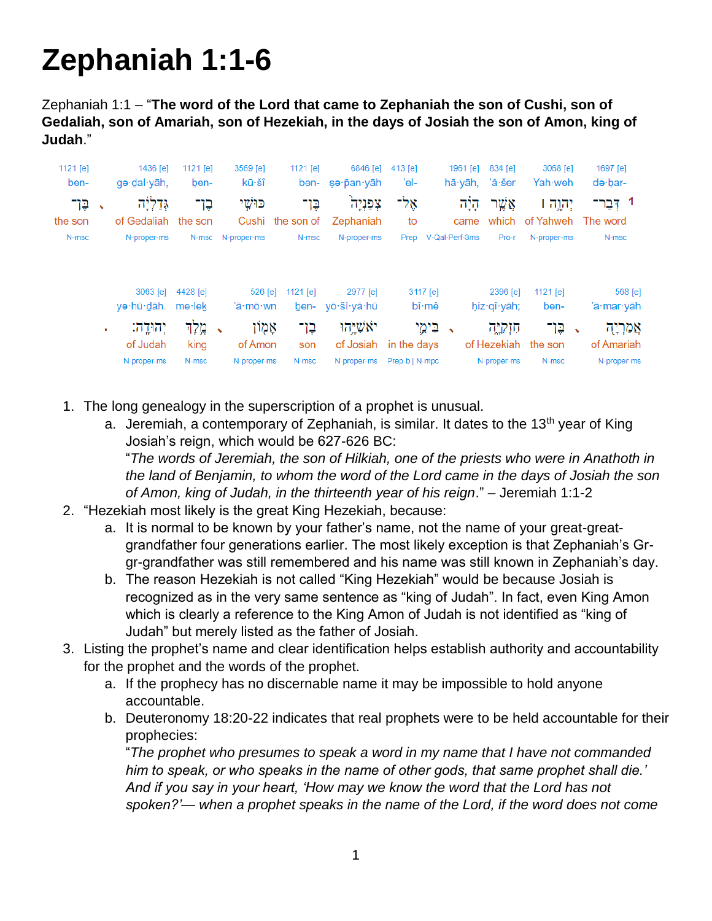# **Zephaniah 1:1-6**

Zephaniah 1:1 – "**The word of the Lord that came to Zephaniah the son of Cushi, son of Gedaliah, son of Amariah, son of Hezekiah, in the days of Josiah the son of Amon, king of Judah**."

|                          | 1436 [e]<br>gə·dal·yāh, | 1121 $[e]$<br>ben- |                            | 3569 [e]<br>kū∙šî   | 1121 [e]          | 6846 [e]                                                            | 413 [e]<br>'el-                                                  |                            | 1961 $[e]$                                                   | 834 [e]                          | 3068 [e]<br>Yah weh | 1697 [e]<br>$d\bullet$ bar-                                                                                                                   |
|--------------------------|-------------------------|--------------------|----------------------------|---------------------|-------------------|---------------------------------------------------------------------|------------------------------------------------------------------|----------------------------|--------------------------------------------------------------|----------------------------------|---------------------|-----------------------------------------------------------------------------------------------------------------------------------------------|
| $\overline{\phantom{a}}$ | גדליה                   | בֶן־               |                            | כּוּשִׁי            | בֵן־              | צפניה<br>Zephaniah                                                  | אָל־<br>to                                                       |                            | הַיָּה<br>came                                               | אֲשֶׁר                           | יהוה ו              | 1 דְּבָר־                                                                                                                                     |
|                          | N-proper-ms             |                    |                            |                     |                   |                                                                     |                                                                  |                            |                                                              | Pro-r                            | N-proper-ms         | N-msc                                                                                                                                         |
|                          | 3063 [e]                | 4428 [e]           |                            |                     | 1121 [e]          | 2977 [e]                                                            |                                                                  |                            |                                                              |                                  | 1121 $[e]$          | 568 [e]                                                                                                                                       |
|                          |                         |                    |                            |                     |                   |                                                                     |                                                                  |                            |                                                              |                                  | ben-                | 'ă∙mar∙yāh                                                                                                                                    |
| ٠                        | יהודה:<br>of Judah      | מֵלֶד<br>king      | $\checkmark$               |                     | בֶן־<br>son       | יאשיהו                                                              |                                                                  |                            |                                                              | חוקיה                            | בֵּן־               | אַמַרְיָה<br>of Amariah<br>N-proper-ms                                                                                                        |
|                          |                         | N-proper-ms        | yə·hū·dāh. me·lek<br>N-msc | of Gedaliah the son | N-msc N-proper-ms | $526$ [e]<br>'ā∙mō∙wn<br>אָמְוֹן<br>of Amon<br>N-proper-ms<br>N-msc | ben- sə·pan·yāh<br>Cushi the son of<br>N-msc<br>ben- yō·šî·yā·hū | N-proper-ms<br>N-proper-ms | 3117 [e]<br>bî∙mê<br>of Josiah in the days<br>Prep-b   N-mpc | Prep V-Qal-Perf-3ms<br>→ בִּימֵי | hā yāh, 'ă šer      | which of Yahweh The word<br>2396 [e]<br>$hiz \cdot q \hat{i} \cdot y \hat{a} h;$<br>$\sqrt{2}$<br>of Hezekiah the son<br>N-proper-ms<br>N-msc |

- 1. The long genealogy in the superscription of a prophet is unusual.
	- a. Jeremiah, a contemporary of Zephaniah, is similar. It dates to the 13<sup>th</sup> year of King Josiah's reign, which would be 627-626 BC: "*The words of Jeremiah, the son of Hilkiah, one of the priests who were in Anathoth in*

*the land of Benjamin, to whom the word of the Lord came in the days of Josiah the son of Amon, king of Judah, in the thirteenth year of his reign*." – Jeremiah 1:1-2

- 2. "Hezekiah most likely is the great King Hezekiah, because:
	- a. It is normal to be known by your father's name, not the name of your great-greatgrandfather four generations earlier. The most likely exception is that Zephaniah's Grgr-grandfather was still remembered and his name was still known in Zephaniah's day.
	- b. The reason Hezekiah is not called "King Hezekiah" would be because Josiah is recognized as in the very same sentence as "king of Judah". In fact, even King Amon which is clearly a reference to the King Amon of Judah is not identified as "king of Judah" but merely listed as the father of Josiah.
- 3. Listing the prophet's name and clear identification helps establish authority and accountability for the prophet and the words of the prophet.
	- a. If the prophecy has no discernable name it may be impossible to hold anyone accountable.
	- b. Deuteronomy 18:20-22 indicates that real prophets were to be held accountable for their prophecies:

"*The prophet who presumes to speak a word in my name that I have not commanded him to speak, or who speaks in the name of other gods, that same prophet shall die.' And if you say in your heart, 'How may we know the word that the Lord has not spoken?'— when a prophet speaks in the name of the Lord, if the word does not come*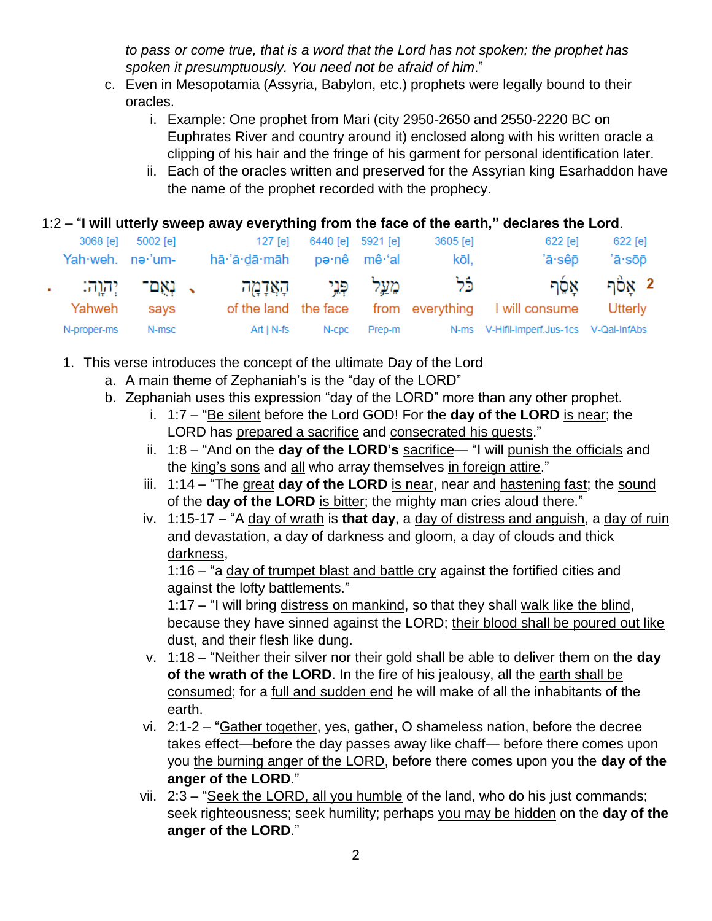*to pass or come true, that is a word that the Lord has not spoken; the prophet has spoken it presumptuously. You need not be afraid of him*."

- c. Even in Mesopotamia (Assyria, Babylon, etc.) prophets were legally bound to their oracles.
	- i. Example: One prophet from Mari (city 2950-2650 and 2550-2220 BC on Euphrates River and country around it) enclosed along with his written oracle a clipping of his hair and the fringe of his garment for personal identification later.
	- ii. Each of the oracles written and preserved for the Assyrian king Esarhaddon have the name of the prophet recorded with the prophecy.

## 1:2 – "**I will utterly sweep away everything from the face of the earth," declares the Lord**.

| Yah weh. ne 'um- | 3068 [e] 5002 [e] | 127 [e]<br>hā·'ă·dā·māh pə·nê mê·'al           | 6440 [e] 5921 [e] |              | 3605 [e]<br>kōl, | 622 [e]<br>'ā·sêp                                           | 622 [e]<br>'ā∙sōp        |
|------------------|-------------------|------------------------------------------------|-------------------|--------------|------------------|-------------------------------------------------------------|--------------------------|
|                  |                   | כֿל מֵעֲל פְּנֵי הָאֲדָמָה , נְאֲם־ יְהָוֶה: . |                   |              |                  |                                                             | קלה אַסֶּף $\frac{1}{2}$ |
| Yahweh says      |                   |                                                |                   |              |                  | of the land the face from everything I will consume Utterly |                          |
| N-proper-ms      | N-msc             | Art   N-fs                                     |                   | N-cpc Prep-m |                  | N-ms V-Hifil-Imperf.Jus-1cs V-Qal-InfAbs                    |                          |

- 1. This verse introduces the concept of the ultimate Day of the Lord
	- a. A main theme of Zephaniah's is the "day of the LORD"
	- b. Zephaniah uses this expression "day of the LORD" more than any other prophet.
		- i. 1:7 "Be silent before the Lord GOD! For the **day of the LORD** is near; the LORD has prepared a sacrifice and consecrated his guests."
		- ii. 1:8 "And on the **day of the LORD's** sacrifice— "I will punish the officials and the king's sons and all who array themselves in foreign attire."
		- iii. 1:14 "The great **day of the LORD** is near, near and hastening fast; the sound of the **day of the LORD** is bitter; the mighty man cries aloud there."
		- iv. 1:15-17 "A day of wrath is **that day**, a day of distress and anguish, a day of ruin and devastation, a day of darkness and gloom, a day of clouds and thick darkness,

1:16 – "a day of trumpet blast and battle cry against the fortified cities and against the lofty battlements."

1:17 – "I will bring distress on mankind, so that they shall walk like the blind, because they have sinned against the LORD; their blood shall be poured out like dust, and their flesh like dung.

- v. 1:18 "Neither their silver nor their gold shall be able to deliver them on the **day of the wrath of the LORD**. In the fire of his jealousy, all the earth shall be consumed; for a full and sudden end he will make of all the inhabitants of the earth.
- vi. 2:1-2 "Gather together, yes, gather, O shameless nation, before the decree takes effect—before the day passes away like chaff— before there comes upon you the burning anger of the LORD, before there comes upon you the **day of the anger of the LORD**."
- vii. 2:3 "Seek the LORD, all you humble of the land, who do his just commands; seek righteousness; seek humility; perhaps you may be hidden on the **day of the anger of the LORD**."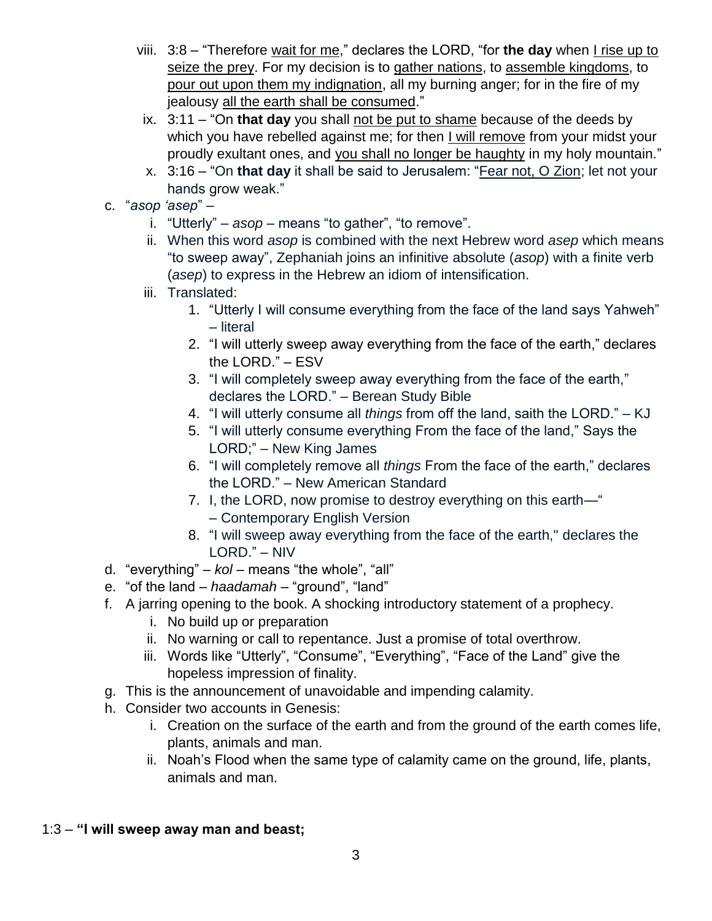- viii. 3:8 "Therefore wait for me," declares the LORD, "for the day when I rise up to seize the prey. For my decision is to gather nations, to assemble kingdoms, to pour out upon them my indignation, all my burning anger; for in the fire of my jealousy all the earth shall be consumed."
- ix. 3:11 "On **that day** you shall not be put to shame because of the deeds by which you have rebelled against me; for then I will remove from your midst your proudly exultant ones, and you shall no longer be haughty in my holy mountain."
- x. 3:16 "On **that day** it shall be said to Jerusalem: "Fear not, O Zion; let not your hands grow weak."
- c. "*asop 'asep*"
	- i. "Utterly" *asop* means "to gather", "to remove".
	- ii. When this word *asop* is combined with the next Hebrew word *asep* which means "to sweep away", Zephaniah joins an infinitive absolute (*asop*) with a finite verb (*asep*) to express in the Hebrew an idiom of intensification.
	- iii. Translated:
		- 1. "Utterly I will consume everything from the face of the land says Yahweh" – literal
		- 2. "I will utterly sweep away everything from the face of the earth," declares the LORD." – ESV
		- 3. "I will completely sweep away everything from the face of the earth," declares the LORD." – Berean Study Bible
		- 4. "I will utterly consume all *things* from off the land, saith the LORD." KJ
		- 5. "I will utterly consume everything From the face of the land," Says the LORD;" – New King James
		- 6. "I will completely remove all *things* From the face of the earth," declares the LORD." – New American Standard
		- 7. I, the LORD, now promise to destroy everything on this earth—" – Contemporary English Version
		- 8. "I will sweep away everything from the face of the earth," declares the LORD." – NIV
- d. "everything" *kol* means "the whole", "all"
- e. "of the land *haadamah* "ground", "land"
- f. A jarring opening to the book. A shocking introductory statement of a prophecy.
	- i. No build up or preparation
	- ii. No warning or call to repentance. Just a promise of total overthrow.
	- iii. Words like "Utterly", "Consume", "Everything", "Face of the Land" give the hopeless impression of finality.
- g. This is the announcement of unavoidable and impending calamity.
- h. Consider two accounts in Genesis:
	- i. Creation on the surface of the earth and from the ground of the earth comes life, plants, animals and man.
	- ii. Noah's Flood when the same type of calamity came on the ground, life, plants, animals and man.

## 1:3 – **"I will sweep away man and beast;**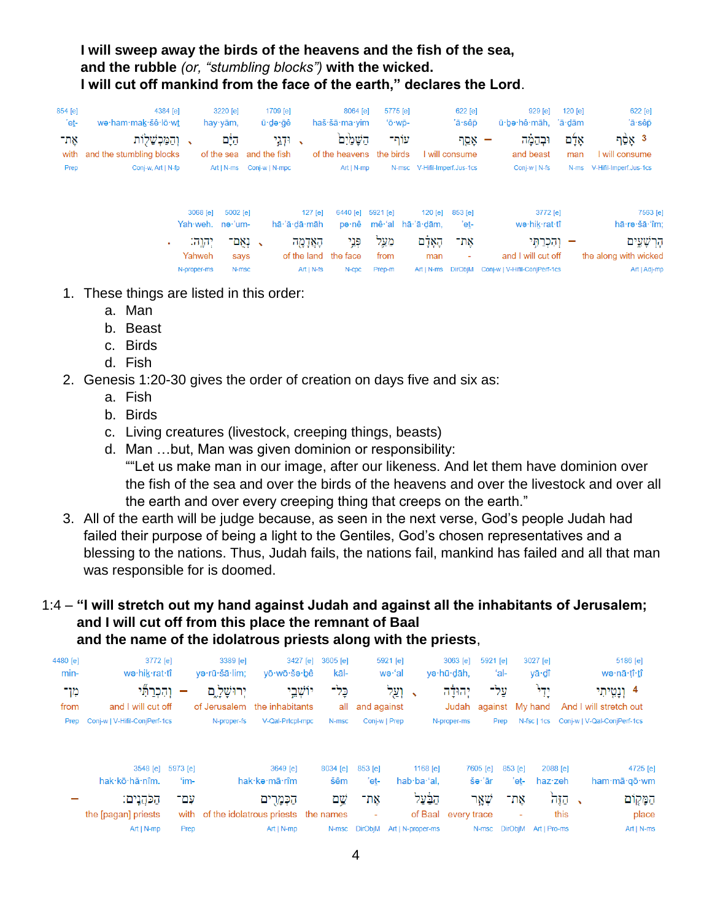# **I will sweep away the birds of the heavens and the fish of the sea, and the rubble** *(or, "stumbling blocks")* **with the wicked. I will cut off mankind from the face of the earth," declares the Lord**.

| 854 [e] | 4384 [e]                 |                      | 3220 [e]            | 1709 [e]                 |                         | 8064 [e]          | 5775 [e]  |                                | 622 [e]         | 929 [e]                       | 120 [e] | 622 [e]                   |
|---------|--------------------------|----------------------|---------------------|--------------------------|-------------------------|-------------------|-----------|--------------------------------|-----------------|-------------------------------|---------|---------------------------|
| 'eṯ-    | we·ham·mak·šê·lō·wt      |                      | hay $y$ ām,         | ū∙də∙ğê                  |                         | haš·šā·ma·yim     | 'ō·wp-    |                                | 'ā·sêp          | ū·bə·hê·māh, 'ā·dām           |         | 'ā·sêp                    |
| אָת־    | והמכשלות                 |                      | היָם                |                          | וּדְגֵי<br>$\mathbf{v}$ | השמים             | עותר      |                                | אָמֵך           | וּבהמה                        | אָלָם   | 3 אָסֶך                   |
| with    | and the stumbling blocks |                      | of the sea          | and the fish             |                         | of the heavens    | the birds |                                | l will consume  | and beast                     | man     | will consume              |
| Prep    | Conj-w, Art   N-fp       |                      | Art I N-ms          | Conj-w   N-mpc           |                         | $Art   N-mp$      | N-msc     | V-Hifil-Imperf.Jus-1cs         |                 | Conj-w   N-fs                 | $N-ms$  | V-Hifil-Imperf.Jus-1cs    |
|         |                          | 3068 [e]<br>Yah·weh. | 5002 [e]<br>ne·'um- |                          | 127 [e]<br>hā·'ă·dā·māh | 6440 [e]<br>pə∙nê | 5921 [e]  | $120$ [e]<br>mê 'al hā 'ā dām, | 853 [e]<br>'et- | 3772 [e]<br>wə·hik·rat·tî     |         | 7563 [e]<br>hā∙rə∙šā∙'îm: |
|         | ۰.                       | יִהוֶה:              | -נאַם               | $\overline{\phantom{a}}$ | הָאֲדָמֶה               | פְנֵי             | מַעֲל     | הָאָדָם                        | אַת־            | וְהִכְרַחֶּי                  |         | קַרְשָׁעֵים               |
|         |                          | Yahweh               | says                |                          | of the land             | the face          | from      | man                            |                 | and I will cut off            |         | the along with wicked     |
|         |                          | N-proper-ms          | N-msc               |                          | $Art   N-fs$            | N-cpc             | Prep-m    | Art I N-ms                     | <b>DirObiM</b>  | Coni-w   V-Hifil-ConiPerf-1cs |         | Art   Adj-mp              |

- 1. These things are listed in this order:
	- a. Man
	- b. Beast
	- c. Birds
	- d. Fish
- 2. Genesis 1:20-30 gives the order of creation on days five and six as:
	- a. Fish
	- b. Birds
	- c. Living creatures (livestock, creeping things, beasts)
	- d. Man …but, Man was given dominion or responsibility: ""Let us make man in our image, after our likeness. And let them have dominion over the fish of the sea and over the birds of the heavens and over the livestock and over all the earth and over every creeping thing that creeps on the earth."
- 3. All of the earth will be judge because, as seen in the next verse, God's people Judah had failed their purpose of being a light to the Gentiles, God's chosen representatives and a blessing to the nations. Thus, Judah fails, the nations fail, mankind has failed and all that man was responsible for is doomed.

#### 1:4 – **"I will stretch out my hand against Judah and against all the inhabitants of Jerusalem; and I will cut off from this place the remnant of Baal and the name of the idolatrous priests along with the priests**,

| 4480 [e] | 3772 [e]                      |          | 3389 [e]      | 3427 [e]                            | 3605 [e] |                                 | $5921$ [e] |                             | 3063 [e]            | 5921 [e]        |         | 3027 [e]     |        |                                         | 5186 [e]   |
|----------|-------------------------------|----------|---------------|-------------------------------------|----------|---------------------------------|------------|-----------------------------|---------------------|-----------------|---------|--------------|--------|-----------------------------------------|------------|
| min-     | wə·hik·rat·tî                 |          | və·rū·šā·lim: | vō·wō·šə·bê                         | kāl-     |                                 | wə·'al     |                             | və hū dāh.          | 'al-            |         | yā∙dî        |        | wə·nā·tî· <u>t</u> î                    |            |
| מן־      | והכרתי                        |          | יִרוּשֵׁלַ ִם | יוֹשֶׁבֵי                           | כֶּל־    |                                 | וְעֵל      | $\overline{\phantom{0}}$    | יהולה               | עֵל־            |         | יָדִי        |        | 4 וְנָמֳיתִי                            |            |
| from     | and I will cut off            |          |               | of Jerusalem the inhabitants        | all      | and against                     |            |                             | Judah               | against My hand |         |              |        | And I will stretch out                  |            |
| Prep     | Conj-w   V-Hifil-ConjPerf-1cs |          | N-proper-fs   | V-Qal-Prtcpl-mpc                    | N-msc    | Conj-w   Prep                   |            |                             | N-proper-ms         | Prep            |         |              |        | N-fsc   1cs Conj-w   V-Qal-ConjPerf-1cs |            |
|          |                               |          |               |                                     |          |                                 |            |                             |                     |                 |         |              |        |                                         |            |
|          | 3548 [e]                      | 5973 [e] |               | 3649 [e]                            | 8034 [e] | 853 [e]                         |            | 1168 $[e]$                  |                     | 7605 [e]        | 853 [e] | 2088 [e]     |        |                                         | 4725 [e]   |
|          | hak·kō·hă·nîm.                | 'im-     |               | hak·kə·mā·rîm                       | šêm      | 'et-                            |            | hab $\cdot$ ba $\cdot$ 'al. |                     | šə∙'ār          | 'et-    | $haz$ zeh    |        | ham·mā·qō·wm                            |            |
|          | הלהגים:                       | עם־      |               | הַכְּמַרִים                         | שם       | אָת־                            |            | הבׄעל                       |                     | שאר             | אַת־    |              | ងច្នុន |                                         | הַמָּקְוֹם |
|          | the [pagan] priests           | with     |               | of the idolatrous priests the names |          | ۰                               |            |                             | of Baal every trace |                 | ٠       |              | this   |                                         | place      |
|          | $Art   N-mp$                  | Prep     |               | $Art   N-mp$                        |          | N-msc DirObjM Art   N-proper-ms |            |                             |                     | N-msc DirObjM   |         | Art   Pro-ms |        |                                         | Art   N-ms |